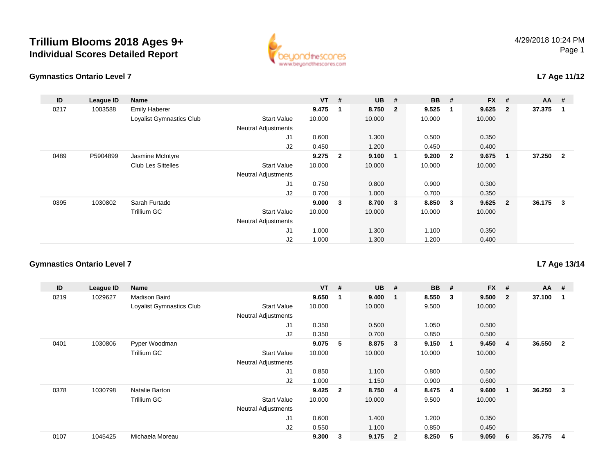## **Trillium Blooms 2018 Ages 9+Individual Scores Detailed Report**



#### **Gymnastics Ontario Level 7**

## **L7 Age 11/12**

| ID   | League ID | Name                      |                            | $VT$ # |                | <b>UB</b> | #                       | <b>BB</b> | #                       | $FX$ # |                          | $AA$ # |                         |
|------|-----------|---------------------------|----------------------------|--------|----------------|-----------|-------------------------|-----------|-------------------------|--------|--------------------------|--------|-------------------------|
| 0217 | 1003588   | <b>Emily Haberer</b>      |                            | 9.475  | $\mathbf 1$    | 8.750     | $\overline{\mathbf{2}}$ | 9.525     | -1                      | 9.625  | $\overline{\mathbf{2}}$  | 37.375 | -1                      |
|      |           | Loyalist Gymnastics Club  | <b>Start Value</b>         | 10.000 |                | 10.000    |                         | 10.000    |                         | 10.000 |                          |        |                         |
|      |           |                           | <b>Neutral Adjustments</b> |        |                |           |                         |           |                         |        |                          |        |                         |
|      |           |                           | J <sub>1</sub>             | 0.600  |                | 1.300     |                         | 0.500     |                         | 0.350  |                          |        |                         |
|      |           |                           | J2                         | 0.450  |                | 1.200     |                         | 0.450     |                         | 0.400  |                          |        |                         |
| 0489 | P5904899  | Jasmine McIntyre          |                            | 9.275  | $\overline{2}$ | 9.100     | $\mathbf 1$             | 9.200     | $\overline{\mathbf{2}}$ | 9.675  | $\overline{\phantom{0}}$ | 37.250 | $\overline{\mathbf{2}}$ |
|      |           | <b>Club Les Sittelles</b> | <b>Start Value</b>         | 10.000 |                | 10.000    |                         | 10.000    |                         | 10.000 |                          |        |                         |
|      |           |                           | <b>Neutral Adjustments</b> |        |                |           |                         |           |                         |        |                          |        |                         |
|      |           |                           | J <sub>1</sub>             | 0.750  |                | 0.800     |                         | 0.900     |                         | 0.300  |                          |        |                         |
|      |           |                           | J2                         | 0.700  |                | 1.000     |                         | 0.700     |                         | 0.350  |                          |        |                         |
| 0395 | 1030802   | Sarah Furtado             |                            | 9.000  | 3              | 8.700 3   |                         | 8.850     | $\overline{\mathbf{3}}$ | 9.625  | $\overline{\mathbf{2}}$  | 36.175 | -3                      |
|      |           | Trillium GC               | <b>Start Value</b>         | 10.000 |                | 10.000    |                         | 10.000    |                         | 10.000 |                          |        |                         |
|      |           |                           | <b>Neutral Adjustments</b> |        |                |           |                         |           |                         |        |                          |        |                         |
|      |           |                           | J <sub>1</sub>             | 1.000  |                | 1.300     |                         | 1.100     |                         | 0.350  |                          |        |                         |
|      |           |                           | J2                         | 1.000  |                | 1.300     |                         | 1.200     |                         | 0.400  |                          |        |                         |

### **Gymnastics Ontario Level 7**

| ID   | League ID | Name                     |                            | <b>VT</b> | #                       | <b>UB</b> | #                       | <b>BB</b> | #   | <b>FX</b> | #              | $AA$ # |              |
|------|-----------|--------------------------|----------------------------|-----------|-------------------------|-----------|-------------------------|-----------|-----|-----------|----------------|--------|--------------|
| 0219 | 1029627   | <b>Madison Baird</b>     |                            | 9.650     |                         | 9.400     | -1                      | 8.550     | 3   | 9.500     | $\overline{2}$ | 37.100 |              |
|      |           | Loyalist Gymnastics Club | <b>Start Value</b>         | 10.000    |                         | 10.000    |                         | 9.500     |     | 10.000    |                |        |              |
|      |           |                          | <b>Neutral Adjustments</b> |           |                         |           |                         |           |     |           |                |        |              |
|      |           |                          | J1                         | 0.350     |                         | 0.500     |                         | 1.050     |     | 0.500     |                |        |              |
|      |           |                          | J2                         | 0.350     |                         | 0.700     |                         | 0.850     |     | 0.500     |                |        |              |
| 0401 | 1030806   | Pyper Woodman            |                            | 9.075     | 5                       | 8.875     | $\overline{\mathbf{3}}$ | 9.150     | - 1 | 9.450     | 4              | 36.550 | $\mathbf{2}$ |
|      |           | Trillium GC              | <b>Start Value</b>         | 10.000    |                         | 10.000    |                         | 10.000    |     | 10.000    |                |        |              |
|      |           |                          | <b>Neutral Adjustments</b> |           |                         |           |                         |           |     |           |                |        |              |
|      |           |                          | J1                         | 0.850     |                         | 1.100     |                         | 0.800     |     | 0.500     |                |        |              |
|      |           |                          | J2                         | 1.000     |                         | 1.150     |                         | 0.900     |     | 0.600     |                |        |              |
| 0378 | 1030798   | Natalie Barton           |                            | 9.425     | $\overline{\mathbf{2}}$ | 8.750     | $\overline{4}$          | 8.475     | -4  | 9.600     | 1              | 36.250 | 3            |
|      |           | Trillium GC              | <b>Start Value</b>         | 10.000    |                         | 10.000    |                         | 9.500     |     | 10.000    |                |        |              |
|      |           |                          | <b>Neutral Adjustments</b> |           |                         |           |                         |           |     |           |                |        |              |
|      |           |                          | J <sub>1</sub>             | 0.600     |                         | 1.400     |                         | 1.200     |     | 0.350     |                |        |              |
|      |           |                          | J2                         | 0.550     |                         | 1.100     |                         | 0.850     |     | 0.450     |                |        |              |
| 0107 | 1045425   | Michaela Moreau          |                            | 9.300     | 3                       | 9.175     | $\overline{\mathbf{2}}$ | 8.250     | 5   | 9.050     | 6              | 35.775 | 4            |

**L7 Age 13/14**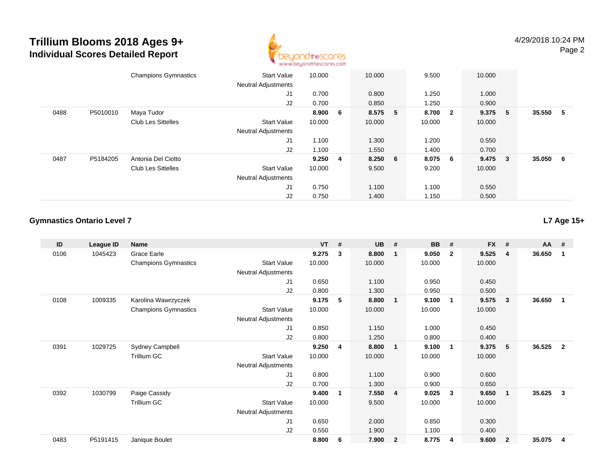## **Trillium Blooms 2018 Ages 9+Individual Scores Detailed Report**



|      |          | <b>Champions Gymnastics</b> | <b>Start Value</b><br><b>Neutral Adjustments</b> | 10.000  | 10.000    | 9.500   | 10.000    |     |          |   |
|------|----------|-----------------------------|--------------------------------------------------|---------|-----------|---------|-----------|-----|----------|---|
|      |          |                             | J1                                               | 0.700   | 0.800     | 1.250   | 1.000     |     |          |   |
|      |          |                             | J2                                               | 0.700   | 0.850     | 1.250   | 0.900     |     |          |   |
| 0488 | P5010010 | Maya Tudor                  |                                                  | 8.900 6 | 8.575 5   | 8.700 2 | 9.375     | - 5 | 35.550 5 |   |
|      |          | <b>Club Les Sittelles</b>   | <b>Start Value</b>                               | 10.000  | 10.000    | 10.000  | 10.000    |     |          |   |
|      |          |                             | <b>Neutral Adjustments</b>                       |         |           |         |           |     |          |   |
|      |          |                             | J1                                               | 1.100   | 1.300     | 1.200   | 0.550     |     |          |   |
|      |          |                             | J2                                               | 1.100   | 1.550     | 1.400   | 0.700     |     |          |   |
| 0487 | P5184205 | Antonia Del Ciotto          |                                                  | 9.250 4 | $8.250$ 6 | 8.075 6 | $9.475$ 3 |     | 35.050   | 6 |
|      |          | <b>Club Les Sittelles</b>   | <b>Start Value</b>                               | 10.000  | 9.500     | 9.200   | 10.000    |     |          |   |
|      |          |                             | <b>Neutral Adjustments</b>                       |         |           |         |           |     |          |   |
|      |          |                             | J1                                               | 0.750   | 1.100     | 1.100   | 0.550     |     |          |   |
|      |          |                             | J2                                               | 0.750   | 1.400     | 1.150   | 0.500     |     |          |   |

#### **Gymnastics Ontario Level 7**

**ID League ID Name VT # UB # BB # FX # AA #** 0106 <sup>1045423</sup> Grace Earle **9.275 <sup>3</sup> 8.800 <sup>1</sup> 9.050 <sup>2</sup> 9.525 <sup>4</sup> 36.650 <sup>1</sup>** Champions Gymnastics Start Valuee 10.000 10.000 10.000 10.000 Neutral Adjustments J1 0.650 1.100 0.950 0.450 J2 0.800 1.300 0.950 0.500 0108 <sup>1009335</sup> Karolina Wawrzyczek **9.175 <sup>5</sup> 8.800 <sup>1</sup> 9.100 <sup>1</sup> 9.575 <sup>3</sup> 36.650 <sup>1</sup>** Champions Gymnastics Start Valuee 10.000 10.000 10.000 10.000 Neutral Adjustments J1 0.850 1.150 1.000 0.450 J2 0.800 1.250 0.800 0.400 0391 <sup>1029725</sup> Sydney Campbell **9.250 <sup>4</sup> 8.800 <sup>1</sup> 9.100 <sup>1</sup> 9.375 <sup>5</sup> 36.525 <sup>2</sup>** Trillium GCC 313 Start Value 10.000 10.000 10.000 10.000 10.000 Neutral Adjustments J1 0.800 1.100 0.900 0.600 J2 0.700 1.300 0.900 0.650 0392 <sup>1030799</sup> Paige Cassidy **9.400 <sup>1</sup> 7.550 <sup>4</sup> 9.025 <sup>3</sup> 9.650 <sup>1</sup> 35.625 <sup>3</sup>** Trillium GCC 31500 10.000 10.000 9.500 10.000 10.000 Neutral Adjustments J1 0.650 2.000 0.850 0.300 J2 0.550 1.900 1.100 0.400 0483P5191415 Janique Boulet **8.800 <sup>6</sup> 7.900 <sup>2</sup> 8.775 <sup>4</sup> 9.600 <sup>2</sup> 35.075 <sup>4</sup>**

**L7 Age 15+**